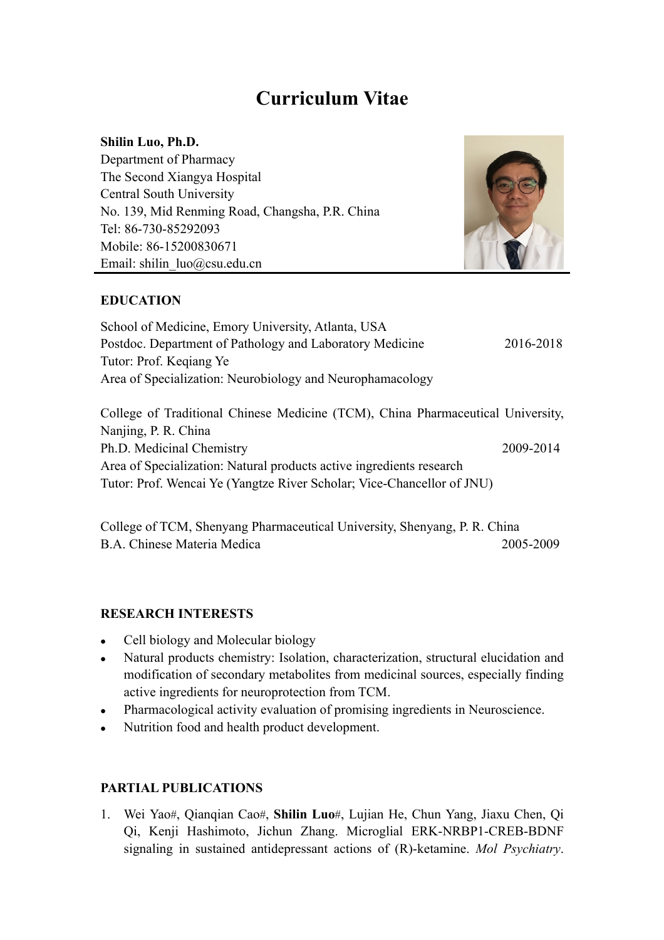# **Curriculum Vitae**

#### **Shilin Luo, Ph.D.**

Department of Pharmacy The Second Xiangya Hospital Central South University No. 139, Mid Renming Road, Changsha, P.R. China Tel: 86-730-85292093 Mobile: 86-15200830671 Email: shilin\_luo@csu.edu.cn



## **EDUCATION**

| School of Medicine, Emory University, Atlanta, USA        |           |
|-----------------------------------------------------------|-----------|
| Postdoc. Department of Pathology and Laboratory Medicine  | 2016-2018 |
| Tutor: Prof. Keqiang Ye                                   |           |
| Area of Specialization: Neurobiology and Neurophamacology |           |
|                                                           |           |

College of Traditional Chinese Medicine (TCM), China Pharmaceutical University, Nanjing, P. R. China Ph.D. Medicinal Chemistry 2009-2014 Area of Specialization: Natural products active ingredients research Tutor: Prof. Wencai Ye (Yangtze River Scholar; Vice-Chancellor of JNU)

College of TCM, Shenyang Pharmaceutical University, Shenyang, P. R. China B.A. Chinese Materia Medica 2005-2009

## **RESEARCH INTERESTS**

- Cell biology and Molecular biology
- Natural products chemistry: Isolation, characterization, structural elucidation and modification of secondary metabolites from medicinal sources, especially finding active ingredients for neuroprotection from TCM.
- Pharmacological activity evaluation of promising ingredients in Neuroscience.
- Nutrition food and health product development.

### **PARTIAL PUBLICATIONS**

1. Wei Yao#, Qianqian Cao#, **Shilin Luo**#, Lujian He, Chun Yang, Jiaxu Chen, Qi Qi, Kenji Hashimoto, Jichun Zhang. Microglial ERK-NRBP1-CREB-BDNF signaling in sustained antidepressant actions of (R)-ketamine. *Mol Psychiatry*.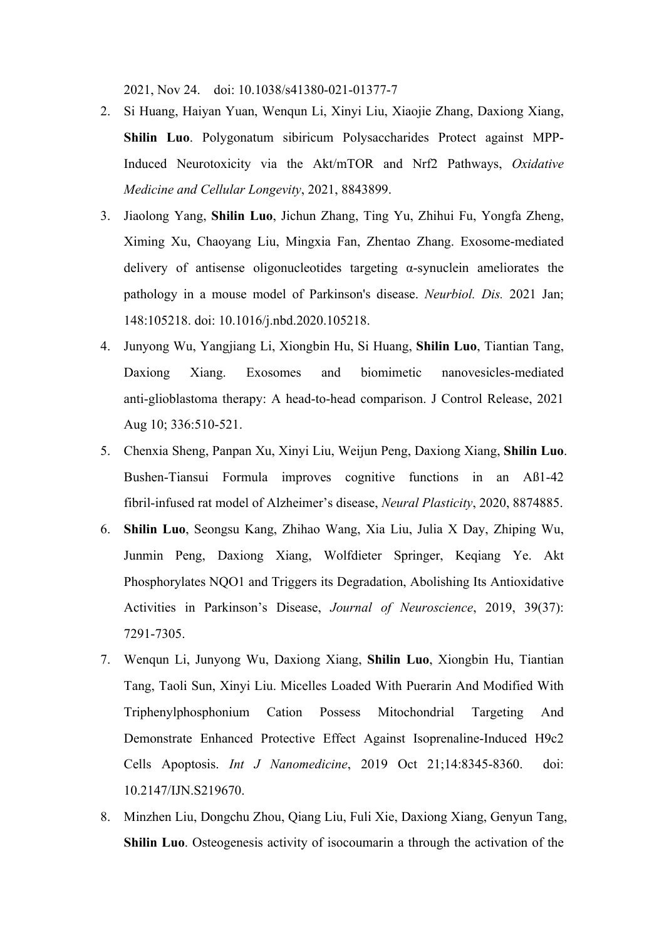2021, Nov 24. doi: 10.1038/s41380-021-01377-7

- 2. Si Huang, Haiyan Yuan, Wenqun Li, Xinyi Liu, Xiaojie Zhang, Daxiong Xiang, **Shilin Luo**. Polygonatum sibiricum Polysaccharides Protect against MPP-Induced Neurotoxicity via the Akt/mTOR and Nrf2 Pathways, *Oxidative Medicine and Cellular Longevity*, 2021, 8843899.
- 3. Jiaolong Yang, **Shilin Luo**, Jichun Zhang, Ting Yu, Zhihui Fu, Yongfa Zheng, Ximing Xu, Chaoyang Liu, Mingxia Fan, Zhentao Zhang. Exosome-mediated delivery of antisense oligonucleotides targeting α-synuclein ameliorates the pathology in a mouse model of Parkinson's disease. *Neurbiol. Dis.* 2021 Jan; 148:105218. doi: 10.1016/j.nbd.2020.105218.
- 4. Junyong Wu, Yangjiang Li, Xiongbin Hu, Si Huang, **Shilin Luo**, Tiantian Tang, Daxiong Xiang. Exosomes and biomimetic nanovesicles-mediated anti-glioblastoma therapy: A head-to-head comparison. J Control Release, 2021 Aug 10; 336:510-521.
- 5. Chenxia Sheng, Panpan Xu, Xinyi Liu, Weijun Peng, Daxiong Xiang, **Shilin Luo**. Bushen-Tiansui Formula improves cognitive functions in an Aß1-42 fibril-infused rat model of Alzheimer's disease, *Neural Plasticity*, 2020, 8874885.
- 6. **Shilin Luo**, Seongsu Kang, Zhihao Wang, Xia Liu, Julia X Day, Zhiping Wu, Junmin Peng, Daxiong Xiang, Wolfdieter Springer, Keqiang Ye. Akt Phosphorylates NQO1 and Triggers its Degradation, Abolishing Its Antioxidative Activities in Parkinson's Disease, *Journal of Neuroscience*, 2019, 39(37): 7291-7305.
- 7. Wenqun Li, Junyong Wu, Daxiong Xiang, **Shilin Luo**, Xiongbin Hu, Tiantian Tang, Taoli Sun, Xinyi Liu. Micelles Loaded With Puerarin And Modified With Triphenylphosphonium Cation Possess Mitochondrial Targeting And Demonstrate Enhanced Protective Effect Against Isoprenaline-Induced H9c2 Cells Apoptosis. *Int J Nanomedicine*, 2019 Oct 21;14:8345-8360. doi: 10.2147/IJN.S219670.
- 8. Minzhen Liu, Dongchu Zhou, Qiang Liu, Fuli Xie, Daxiong Xiang, Genyun Tang, **Shilin Luo**. Osteogenesis activity of isocoumarin a through the activation of the